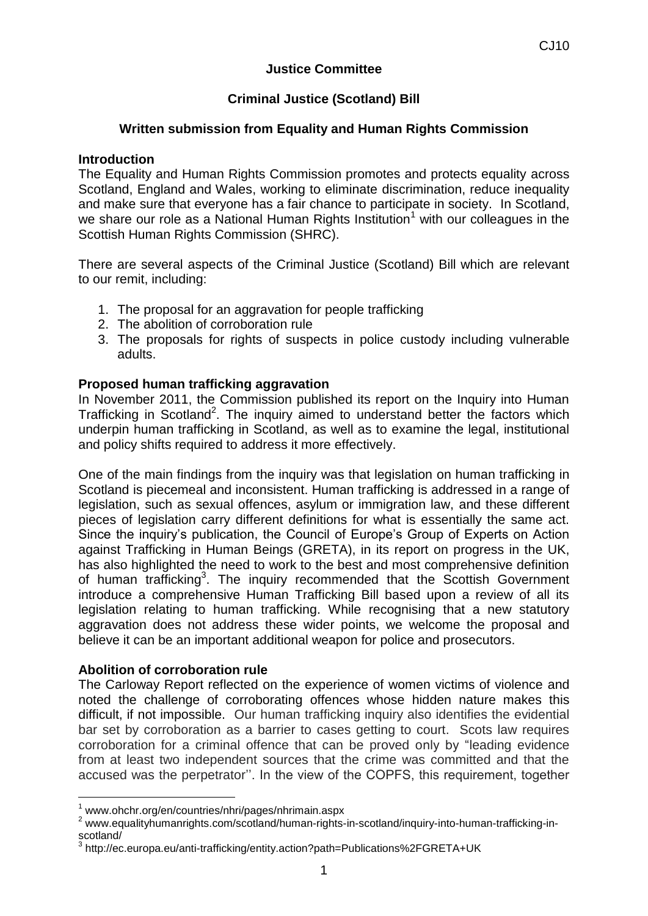## **Justice Committee**

# **Criminal Justice (Scotland) Bill**

### **Written submission from Equality and Human Rights Commission**

#### **Introduction**

The Equality and Human Rights Commission promotes and protects equality across Scotland, England and Wales, working to eliminate discrimination, reduce inequality and make sure that everyone has a fair chance to participate in society. In Scotland, we share our role as a National Human Rights Institution<sup>1</sup> with our colleagues in the Scottish Human Rights Commission (SHRC).

There are several aspects of the Criminal Justice (Scotland) Bill which are relevant to our remit, including:

- 1. The proposal for an aggravation for people trafficking
- 2. The abolition of corroboration rule
- 3. The proposals for rights of suspects in police custody including vulnerable adults.

#### **Proposed human trafficking aggravation**

In November 2011, the Commission published its report on the Inquiry into Human Trafficking in Scotland<sup>2</sup>. The inquiry aimed to understand better the factors which underpin human trafficking in Scotland, as well as to examine the legal, institutional and policy shifts required to address it more effectively.

One of the main findings from the inquiry was that legislation on human trafficking in Scotland is piecemeal and inconsistent. Human trafficking is addressed in a range of legislation, such as sexual offences, asylum or immigration law, and these different pieces of legislation carry different definitions for what is essentially the same act. Since the inquiry's publication, the Council of Europe's Group of Experts on Action against Trafficking in Human Beings (GRETA), in its report on progress in the UK, has also highlighted the need to work to the best and most comprehensive definition of human trafficking<sup>3</sup>. The inquiry recommended that the Scottish Government introduce a comprehensive Human Trafficking Bill based upon a review of all its legislation relating to human trafficking. While recognising that a new statutory aggravation does not address these wider points, we welcome the proposal and believe it can be an important additional weapon for police and prosecutors.

#### **Abolition of corroboration rule**

 $\overline{1}$ 

The Carloway Report reflected on the experience of women victims of violence and noted the challenge of corroborating offences whose hidden nature makes this difficult, if not impossible. Our human trafficking inquiry also identifies the evidential bar set by corroboration as a barrier to cases getting to court. Scots law requires corroboration for a criminal offence that can be proved only by "leading evidence from at least two independent sources that the crime was committed and that the accused was the perpetrator''. In the view of the COPFS, this requirement, together

<sup>1</sup> www.ohchr.org/en/countries/nhri/pages/nhrimain.aspx

<sup>2</sup> www.equalityhumanrights.com/scotland/human-rights-in-scotland/inquiry-into-human-trafficking-inscotland/

<sup>&</sup>lt;sup>3</sup> http://ec.europa.eu/anti-trafficking/entity.action?path=Publications%2FGRETA+UK